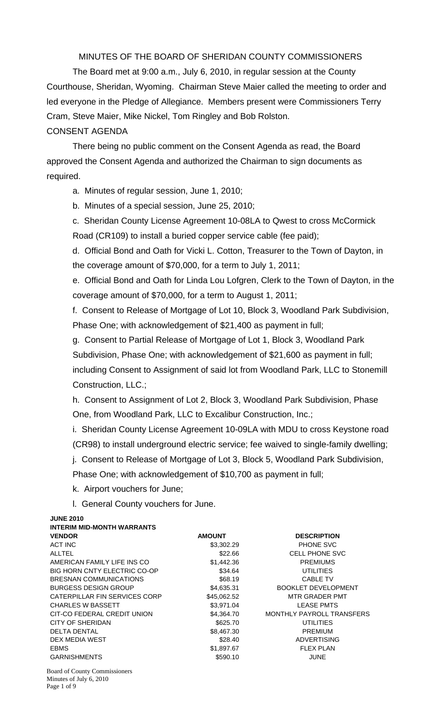MINUTES OF THE BOARD OF SHERIDAN COUNTY COMMISSIONERS

 The Board met at 9:00 a.m., July 6, 2010, in regular session at the County Courthouse, Sheridan, Wyoming. Chairman Steve Maier called the meeting to order and led everyone in the Pledge of Allegiance. Members present were Commissioners Terry Cram, Steve Maier, Mike Nickel, Tom Ringley and Bob Rolston. CONSENT AGENDA

There being no public comment on the Consent Agenda as read, the Board approved the Consent Agenda and authorized the Chairman to sign documents as required.

a. Minutes of regular session, June 1, 2010;

b. Minutes of a special session, June 25, 2010;

c. Sheridan County License Agreement 10-08LA to Qwest to cross McCormick Road (CR109) to install a buried copper service cable (fee paid);

d. Official Bond and Oath for Vicki L. Cotton, Treasurer to the Town of Dayton, in the coverage amount of \$70,000, for a term to July 1, 2011;

e. Official Bond and Oath for Linda Lou Lofgren, Clerk to the Town of Dayton, in the coverage amount of \$70,000, for a term to August 1, 2011;

f. Consent to Release of Mortgage of Lot 10, Block 3, Woodland Park Subdivision, Phase One; with acknowledgement of \$21,400 as payment in full;

g. Consent to Partial Release of Mortgage of Lot 1, Block 3, Woodland Park Subdivision, Phase One; with acknowledgement of \$21,600 as payment in full; including Consent to Assignment of said lot from Woodland Park, LLC to Stonemill Construction, LLC.;

h. Consent to Assignment of Lot 2, Block 3, Woodland Park Subdivision, Phase One, from Woodland Park, LLC to Excalibur Construction, Inc.;

i. Sheridan County License Agreement 10-09LA with MDU to cross Keystone road (CR98) to install underground electric service; fee waived to single-family dwelling;

j. Consent to Release of Mortgage of Lot 3, Block 5, Woodland Park Subdivision,

Phase One; with acknowledgement of \$10,700 as payment in full;

k. Airport vouchers for June;

l. General County vouchers for June.

| <b>JUNE 2010</b>                    |               |                            |
|-------------------------------------|---------------|----------------------------|
| <b>INTERIM MID-MONTH WARRANTS</b>   |               |                            |
| <b>VENDOR</b>                       | <b>AMOUNT</b> | <b>DESCRIPTION</b>         |
| ACT INC                             | \$3,302.29    | <b>PHONE SVC</b>           |
| <b>ALLTEL</b>                       | \$22.66       | <b>CELL PHONE SVC</b>      |
| AMERICAN FAMILY LIFE INS CO         | \$1,442.36    | <b>PREMIUMS</b>            |
| <b>BIG HORN CNTY ELECTRIC CO-OP</b> | \$34.64       | <b>UTILITIES</b>           |
| <b>BRESNAN COMMUNICATIONS</b>       | \$68.19       | <b>CABLE TV</b>            |
| <b>BURGESS DESIGN GROUP</b>         | \$4,635.31    | <b>BOOKLET DEVELOPMENT</b> |
| CATERPILLAR FIN SERVICES CORP       | \$45,062.52   | <b>MTR GRADER PMT</b>      |
| <b>CHARLES W BASSETT</b>            | \$3,971.04    | <b>LEASE PMTS</b>          |
| CIT-CO FEDERAL CREDIT UNION         | \$4,364.70    | MONTHLY PAYROLL TRANSFERS  |
| CITY OF SHERIDAN                    | \$625.70      | <b>UTILITIES</b>           |
| <b>DELTA DENTAL</b>                 | \$8,467.30    | <b>PREMIUM</b>             |
| DEX MEDIA WEST                      | \$28.40       | <b>ADVERTISING</b>         |
| <b>EBMS</b>                         | \$1,897.67    | <b>FLEX PLAN</b>           |
| <b>GARNISHMENTS</b>                 | \$590.10      | <b>JUNE</b>                |
| Roard of County Commissioners       |               |                            |

Board of County Commissioners Minutes of July 6, 2010 Page 1 of 9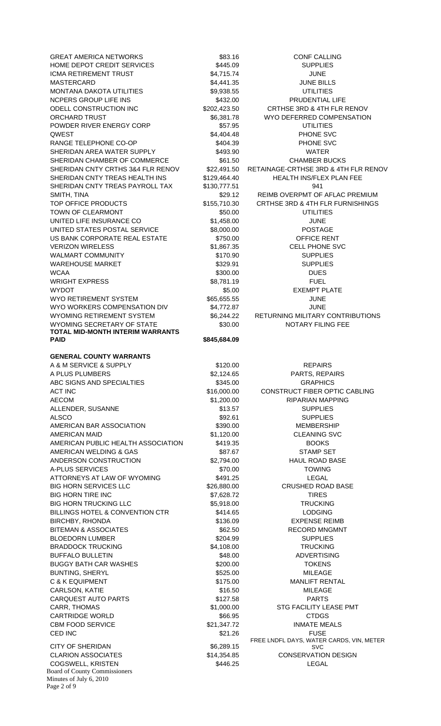Board of County Commissioners Minutes of July 6, 2010 GREAT AMERICA NETWORKS \$83.16 \$83.16 CONF CALLING HOME DEPOT CREDIT SERVICES  $$445.09$  SUPPLIES ICMA RETIREMENT TRUST  $$4,715.74$  JUNE MASTERCARD \$4,441.35 JUNE BILLS MONTANA DAKOTA UTILITIES \$9,938.55 UTILITIES NCPERS GROUP LIFE INS THE RESERVE SERVICE OF SASSAGE SERVICE PRUDENTIAL LIFE ODELL CONSTRUCTION INC  $$202,423.50$  CRTHSE 3RD & 4TH FLR RENOV ORCHARD TRUST TRUST THE SECONDUCT SECOND ASSAULT A SECOND WAS SERIES ON MYO DEFERRED COMPENSATION POWDER RIVER ENERGY CORP \$57.95 UTILITIES QWEST \$4,404.48 PHONE SVC RANGE TELEPHONE CO-OP \$404.39 PHONE SVC SHERIDAN AREA WATER SUPPLY **\$493.90** \$493.90 WATER SHERIDAN CHAMBER OF COMMERCE \$61.50 CHAMBER BUCKS SHERIDAN CNTY CRTHS 3&4 FLR RENOV \$22,491.50 RETAINAGE-CRTHSE 3RD & 4TH FLR RENOV SHERIDAN CNTY TREAS HEALTH INS \$129,464.40 HEALTH INS/FLEX PLAN FEE SHERIDAN CNTY TREAS PAYROLL TAX \$130,777.51 941 SMITH, TINA \$29.12 REIMB OVERPMT OF AFLAC PREMIUM TOP OFFICE PRODUCTS  $$155,710.30$  CRTHSE 3RD & 4TH FLR FURNISHINGS TOWN OF CLEARMONT **12000 CLEARMONT** 650.00 **UTILITIES** UNITED LIFE INSURANCE CO 60 \$1,458.00 \$1,458.00 JUNE UNITED STATES POSTAL SERVICE  $$8,000.00$  POSTAGE US BANK CORPORATE REAL ESTATE \$750.00 OFFICE RENT VERIZON WIRELESS THE STREET STREET STREET AND STREET STREET STREET STREET STREET STREET STREET STREET STREET S WALMART COMMUNITY THE SECOND SUPPLIES WAREHOUSE MARKET **1988** SUPPLIES WCAA \$300.00 DUES WRIGHT EXPRESS THE SERVICE SERVICE SERVICE SERVICE SERVICE SERVICE SERVICE SERVICE SERVICE SERVICE SERVICE SERVICE SERVICE SERVICE SERVICE SERVICE SERVICE SERVICE SERVICE SERVICE SERVICE SERVICE SERVICE SERVICE SERVICE SER WYDOT \$5.00 EXEMPT PLATE WYO RETIREMENT SYSTEM  $$65,655.55$  JUNE WYO WORKERS COMPENSATION DIV 54.772.87 SERVICE AND TUNE WYOMING RETIREMENT SYSTEM  $$6,244.22$  RETURNING MILITARY CONTRIBUTIONS WYOMING SECRETARY OF STATE  $$30.00$  NOTARY FILING FEE **TOTAL MID-MONTH INTERIM WARRANTS PAID**  $$845.684.09$ **GENERAL COUNTY WARRANTS**  A & M SERVICE & SUPPLY \$120.00 REPAIRS A PLUS PLUMBERS  $$2,124.65$  PARTS, REPAIRS ABC SIGNS AND SPECIALTIES \$345.00 STATES SALES SAND SPECIALTIES ACT INC 6.1 ACT INC 6.1 ACT INC 6.1 ACT INC AECOM 61.200.00 RIPARIAN MAPPING ALLENDER, SUSANNE \$13.57 SUPPLIES ALSCO \$92.61 SUPPLIES AMERICAN BAR ASSOCIATION  $$390.00$  MEMBERSHIP AMERICAN MAID **\$1,120.00** \$1,120.00 CLEANING SVC AMERICAN PUBLIC HEALTH ASSOCIATION \$419.35 BOOKS AMERICAN WELDING & GAS \$87.67 \$87.67 STAMP SET ANDERSON CONSTRUCTION \$2,794.00 HAUL ROAD BASE A-PLUS SERVICES **\$70.00** \$70.00 TOWING ATTORNEYS AT LAW OF WYOMING  $$491.25$  LEGAL BIG HORN SERVICES LLC  $$26,880.00$  CRUSHED ROAD BASE BIG HORN TIRE INC **\$7,628.72** TIRES BIG HORN TRUCKING LLC \$5,918.00 TRUCKING BILLINGS HOTEL & CONVENTION CTR  $$414.65$  LODGING BIRCHBY, RHONDA \$136.09 EXPENSE REIMB BITEMAN & ASSOCIATES  $$62.50$  RECORD MNGMNT BLOEDORN LUMBER \$204.99 SUPPLIES BRADDOCK TRUCKING **\$4,108.00** \$4,108.00 TRUCKING BUFFALO BULLETIN \$48.00 ADVERTISING BUGGY BATH CAR WASHES  $$200.00$  TOKENS BUNTING, SHERYL \$525.00 MILEAGE C & K EQUIPMENT **\$175.00** MANLIFT RENTAL CARLSON, KATIE \$16.50 MILEAGE CARQUEST AUTO PARTS **127.58** \$127.58 PARTS CARR, THOMAS \$1,000.00 STG FACILITY LEASE PMT CARTRIDGE WORLD **\$66.95** CARTRIDGE WORLD CBM FOOD SERVICE **12000** S21,347.72 INMATE MEALS CED INC **EXECUTE:** S21.26 FUSE CITY OF SHERIDAN \$6,289.15 CLARION ASSOCIATES **\$14,354.85** CONSERVATION DESIGN COGSWELL, KRISTEN 5446.25 LEGAL

Page 2 of 9

FREE LNDFL DAYS, WATER CARDS, VIN, METER SVC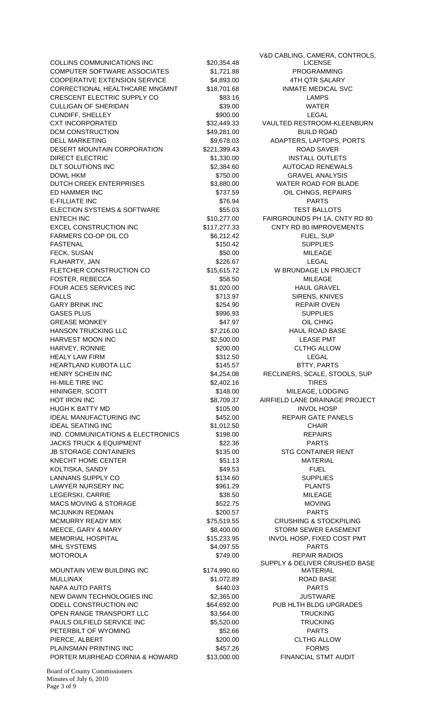COLLINS COMMUNICATIONS INC \$20,354.48 COMPUTER SOFTWARE ASSOCIATES \$1,721.88 PROGRAMMING COOPERATIVE EXTENSION SERVICE \$4,893.00 4TH QTR SALARY CORRECTIONAL HEALTHCARE MNGMNT \$18,701.68 INMATE MEDICAL SVC CRESCENT ELECTRIC SUPPLY CO \$83.16 LAMPS CULLIGAN OF SHERIDAN **\$39.00** \$39.00 WATER CUNDIFF, SHELLEY \$900.00 LEGAL CXT INCORPORATED  $$32,449.33$  VAULTED RESTROOM-KLEENBURN DCM CONSTRUCTION \$49,281.00 BUILD ROAD DELL MARKETING \$9,678.03 ADAPTERS, LAPTOPS, PORTS DESERT MOUNTAIN CORPORATION \$221,399.43 ROAD SAVER DIRECT ELECTRIC \$1,330.00 INSTALL OUTLETS DLT SOLUTIONS INC **\$2,384.60** AUTOCAD RENEWALS DOWL HKM \$750.00 GRAVEL ANALYSIS DUTCH CREEK ENTERPRISES  $$3,880.00$  WATER ROAD FOR BLADE ED HAMMER INC **EXAMPLE 10 CONSUMING A STATE 1** S737.59 OIL CHNGS, REPAIRS E-FILLIATE INC \$76.94 PARTS ELECTION SYSTEMS & SOFTWARE  $$55.03$  TEST BALLOTS ENTECH INC **ENTECH INC** \$10,277.00 FAIRGROUNDS PH 1A, CNTY RD 80 EXCEL CONSTRUCTION INC  $$117,277.33$  CNTY RD 80 IMPROVEMENTS FARMERS CO-OP OIL CO \$6.212.42 FUEL, SUP FASTENAL \$150.42 SUPPLIES FECK, SUSAN \$50.00 MILEAGE FLAHARTY, JAN \$226.67 LEGAL FLETCHER CONSTRUCTION CO \$15,615.72 W BRUNDAGE LN PROJECT FOSTER, REBECCA \$58.50 MILEAGE FOUR ACES SERVICES INC  $$1,020.00$  HAUL GRAVEL GALLS \$713.97 SIRENS, KNIVES GARY BRINK INC **Example 254.90** S254.90 REPAIR OVEN GASES PLUS \$996.93 SUPPLIES GREASE MONKEY **628 CONFERENT CONSTRUCTED AT A SAT.97** OIL CHNG HANSON TRUCKING LLC  $$7,216.00$  HAUL ROAD BASE HARVEST MOON INC **1.2000 SECTES 10000 S2,500.00** LEASE PMT HARVEY, RONNIE \$200.00 CLTHG ALLOW HEALY LAW FIRM **EXAMPLE 19** 2012 12:50 S312.50 **LEGAL** HEARTLAND KUBOTA LLC **8145.57** \$145.57 BTTY, PARTS HENRY SCHEIN INC \$4,254.08 RECLINERS, SCALE, STOOLS, SUP HI-MILE TIRE INC **the set of the S2,402.16** TIRES HININGER, SCOTT **\$148.00** MILEAGE, LODGING HOT IRON INC **EXECUTE:** THE SALT OF SALT AND SALT AND A SALT AND HE REAL AND THE PROJECT HUGH K BATTY MD **\$105.00** S105.00 INVOL HOSP IDEAL MANUFACTURING INC<br>
\$452.00 REPAIR GATE PANELS IDEAL SEATING INC **61,012.50** \$1,012.50 CHAIR IND. COMMUNICATIONS & ELECTRONICS \$198.00 REPAIRS JACKS TRUCK & EQUIPMENT \$22.36 PARTS JB STORAGE CONTAINERS **\$135.00** \$135.00 STG CONTAINER RENT KNECHT HOME CENTER **1990 CONTRACT CONTRACT SECURE 2012 CONTRACT SET AND ACTERIAL** KOLTISKA, SANDY \$49.53 FUEL LANNANS SUPPLY CO **8134.60** STORES SUPPLIES LAWYER NURSERY INC **Example 2012 12:30 SSS1.29** PLANTS LEGERSKI, CARRIE \$38.50 MILEAGE MACS MOVING & STORAGE  $$522.75$  MOVING MCJUNKIN REDMAN \$200.57 PARTS MCMURRY READY MIX \$75,519.55 CRUSHING & STOCKPILING MEECE, GARY & MARY  $$8,400.00$  STORM SEWER EASEMENT MEMORIAL HOSPITAL \$15,233.95 INVOL HOSP, FIXED COST PMT MHL SYSTEMS \$4,097.55 PARTS MOTOROLA \$749.00 REPAIR RADIOS MOUNTAIN VIEW BUILDING INC \$174,990.60 MULLINAX \$1,072.89 ROAD BASE NAPA AUTO PARTS \$440.03 PARTS NEW DAWN TECHNOLOGIES INC \$2,365.00 SEXUAL SEXUAL SEXUAL SEXUAL SEXUAL SEXUAL SEXUAL SEXUAL SEXUAL SEXUAL SEXU ODELL CONSTRUCTION INC  $$64,692.00$  PUB HLTH BLDG UPGRADES OPEN RANGE TRANSPORT LLC \$3,564.00 TRUCKING PAULS OILFIELD SERVICE INC  $$5,520.00$  TRUCKING PETERBILT OF WYOMING **EXECUTE:** \$52.66 PARTS PIERCE, ALBERT \$200.00 CLTHG ALLOW PLAINSMAN PRINTING INC **\$457.26** S457.26 FORMS PORTER MUIRHEAD CORNIA & HOWARD \$13,000.00 FINANCIAL STMT AUDIT

V&D CABLING, CAMERA, CONTROLS, LICENSE SUPPLY & DELIVER CRUSHED BASE MATERIAL

Board of County Commissioners Minutes of July 6, 2010 Page 3 of 9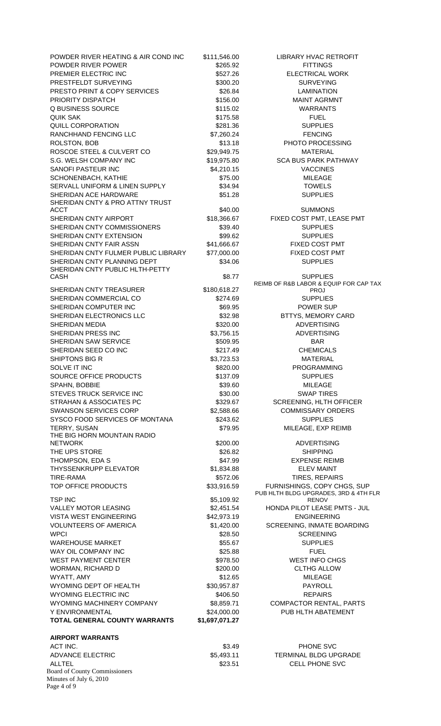| POWDER RIVER HEATING & AIR COND INC                                            | \$111,546.00               | LIBRARY HVAC RETROFIT                          |
|--------------------------------------------------------------------------------|----------------------------|------------------------------------------------|
| POWDER RIVER POWER                                                             | \$265.92                   | <b>FITTINGS</b>                                |
| PREMIER ELECTRIC INC                                                           | \$527.26                   | <b>ELECTRICAL WORK</b>                         |
| PRESTFELDT SURVEYING                                                           | \$300.20                   | <b>SURVEYING</b>                               |
| PRESTO PRINT & COPY SERVICES                                                   | \$26.84                    | <b>LAMINATION</b>                              |
| PRIORITY DISPATCH<br><b>Q BUSINESS SOURCE</b>                                  | \$156.00                   | <b>MAINT AGRMNT</b>                            |
|                                                                                | \$115.02                   | <b>WARRANTS</b>                                |
| <b>QUIK SAK</b><br><b>QUILL CORPORATION</b>                                    | \$175.58<br>\$281.36       | <b>FUEL</b><br><b>SUPPLIES</b>                 |
| RANCHHAND FENCING LLC                                                          | \$7,260.24                 | <b>FENCING</b>                                 |
| ROLSTON, BOB                                                                   | \$13.18                    | PHOTO PROCESSING                               |
| ROSCOE STEEL & CULVERT CO                                                      | \$29,949.75                | <b>MATERIAL</b>                                |
| S.G. WELSH COMPANY INC                                                         | \$19,975.80                | <b>SCA BUS PARK PATHWAY</b>                    |
| SANOFI PASTEUR INC                                                             | \$4,210.15                 | <b>VACCINES</b>                                |
| SCHONENBACH, KATHIE                                                            | \$75.00                    | <b>MILEAGE</b>                                 |
| SERVALL UNIFORM & LINEN SUPPLY                                                 | \$34.94                    | <b>TOWELS</b>                                  |
| SHERIDAN ACE HARDWARE                                                          | \$51.28                    | <b>SUPPLIES</b>                                |
| SHERIDAN CNTY & PRO ATTNY TRUST                                                |                            |                                                |
| <b>ACCT</b>                                                                    | \$40.00                    | <b>SUMMONS</b>                                 |
| SHERIDAN CNTY AIRPORT                                                          | \$18,366.67                | FIXED COST PMT, LEASE PMT                      |
| SHERIDAN CNTY COMMISSIONERS                                                    | \$39.40                    | <b>SUPPLIES</b>                                |
| SHERIDAN CNTY EXTENSION                                                        | \$99.62                    | <b>SUPPLIES</b>                                |
| SHERIDAN CNTY FAIR ASSN<br>SHERIDAN CNTY FULMER PUBLIC LIBRARY                 | \$41,666.67<br>\$77,000.00 | FIXED COST PMT<br>FIXED COST PMT               |
| SHERIDAN CNTY PLANNING DEPT                                                    | \$34.06                    | <b>SUPPLIES</b>                                |
| SHERIDAN CNTY PUBLIC HLTH-PETTY                                                |                            |                                                |
| <b>CASH</b>                                                                    | \$8.77                     | <b>SUPPLIES</b>                                |
|                                                                                |                            | REIMB OF R&B LABOR & EQUIP FOR CAP TAX         |
| SHERIDAN CNTY TREASURER                                                        | \$180,618.27               | <b>PROJ</b>                                    |
| SHERIDAN COMMERCIAL CO<br>SHERIDAN COMPUTER INC                                | \$274.69<br>\$69.95        | <b>SUPPLIES</b><br>POWER SUP                   |
| SHERIDAN ELECTRONICS LLC                                                       | \$32.98                    | <b>BTTYS, MEMORY CARD</b>                      |
| <b>SHERIDAN MEDIA</b>                                                          | \$320.00                   | <b>ADVERTISING</b>                             |
| SHERIDAN PRESS INC                                                             | \$3,756.15                 | <b>ADVERTISING</b>                             |
| SHERIDAN SAW SERVICE                                                           | \$509.95                   | <b>BAR</b>                                     |
| SHERIDAN SEED CO INC                                                           | \$217.49                   | <b>CHEMICALS</b>                               |
| SHIPTONS BIG R                                                                 | \$3,723.53                 | <b>MATERIAL</b>                                |
| SOLVE IT INC                                                                   | \$820.00                   | <b>PROGRAMMING</b>                             |
| SOURCE OFFICE PRODUCTS                                                         | \$137.09                   | <b>SUPPLIES</b>                                |
| SPAHN, BOBBIE                                                                  | \$39.60                    | <b>MILEAGE</b>                                 |
| STEVES TRUCK SERVICE INC                                                       | \$30.00                    | <b>SWAP TIRES</b>                              |
| STRAHAN & ASSOCIATES PC                                                        | \$329.67                   | <b>SCREENING, HLTH OFFICER</b>                 |
| <b>SWANSON SERVICES CORP</b>                                                   | \$2,588.66                 | <b>COMMISSARY ORDERS</b>                       |
| SYSCO FOOD SERVICES OF MONTANA                                                 | \$243.62                   | <b>SUPPLIES</b>                                |
| TERRY, SUSAN                                                                   | \$79.95                    | MILEAGE, EXP REIMB                             |
| THE BIG HORN MOUNTAIN RADIO<br><b>NETWORK</b>                                  | \$200.00                   | <b>ADVERTISING</b>                             |
| THE UPS STORE                                                                  | \$26.82                    | <b>SHIPPING</b>                                |
| THOMPSON, EDA S                                                                | \$47.99                    | <b>EXPENSE REIMB</b>                           |
| <b>THYSSENKRUPP ELEVATOR</b>                                                   | \$1,834.88                 | <b>ELEV MAINT</b>                              |
| <b>TIRE-RAMA</b>                                                               | \$572.06                   | TIRES, REPAIRS                                 |
| TOP OFFICE PRODUCTS                                                            | \$33,916.59                | FURNISHINGS, COPY CHGS, SUP                    |
|                                                                                |                            | PUB HLTH BLDG UPGRADES, 3RD & 4TH FLR          |
| <b>TSP INC</b>                                                                 | \$5,109.92                 | <b>RENOV</b>                                   |
| VALLEY MOTOR LEASING                                                           | \$2,451.54                 | HONDA PILOT LEASE PMTS - JUL                   |
| <b>VISTA WEST ENGINEERING</b>                                                  | \$42,973.19                | <b>ENGINEERING</b>                             |
| <b>VOLUNTEERS OF AMERICA</b><br><b>WPCI</b>                                    | \$1,420.00<br>\$28.50      | SCREENING, INMATE BOARDING<br><b>SCREENING</b> |
| <b>WAREHOUSE MARKET</b>                                                        | \$55.67                    | <b>SUPPLIES</b>                                |
| WAY OIL COMPANY INC                                                            | \$25.88                    | <b>FUEL</b>                                    |
| <b>WEST PAYMENT CENTER</b>                                                     | \$978.50                   | <b>WEST INFO CHGS</b>                          |
| WORMAN, RICHARD D                                                              | \$200.00                   | <b>CLTHG ALLOW</b>                             |
| WYATT, AMY                                                                     | \$12.65                    | <b>MILEAGE</b>                                 |
| WYOMING DEPT OF HEALTH                                                         | \$30,957.87                | PAYROLL                                        |
| WYOMING ELECTRIC INC                                                           | \$406.50                   | <b>REPAIRS</b>                                 |
| WYOMING MACHINERY COMPANY                                                      | \$8,859.71                 | COMPACTOR RENTAL, PARTS                        |
| Y ENVIRONMENTAL                                                                | \$24,000.00                | PUB HLTH ABATEMENT                             |
| TOTAL GENERAL COUNTY WARRANTS                                                  | \$1,697,071.27             |                                                |
|                                                                                |                            |                                                |
| <b>AIRPORT WARRANTS</b>                                                        |                            |                                                |
| ACT INC.                                                                       | \$3.49                     | PHONE SVC                                      |
| <b>ADVANCE ELECTRIC</b>                                                        | \$5,493.11                 | <b>TERMINAL BLDG UPGRADE</b>                   |
| <b>ALLTEL</b>                                                                  | \$23.51                    | <b>CELL PHONE SVC</b>                          |
| <b>Board of County Commissioners</b><br>Minutes of July 6, 2010<br>Page 4 of 9 |                            |                                                |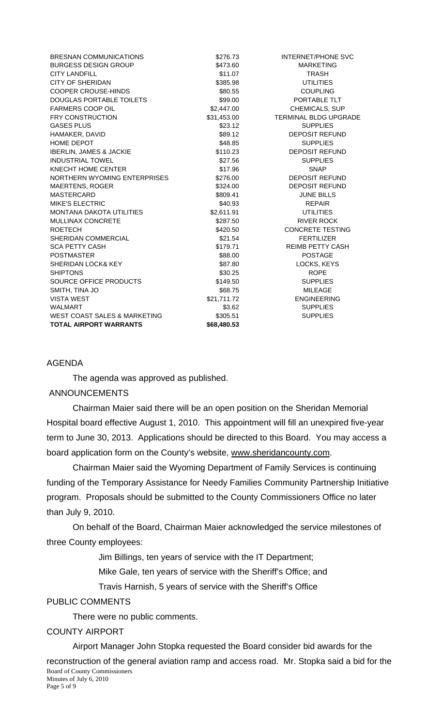| <b>BRESNAN COMMUNICATIONS</b>      | \$276.73    | <b>INTERNET/PHONE SVC</b>    |
|------------------------------------|-------------|------------------------------|
| <b>BURGESS DESIGN GROUP</b>        | \$473.60    | <b>MARKETING</b>             |
| <b>CITY LANDFILL</b>               | \$11.07     | <b>TRASH</b>                 |
| <b>CITY OF SHERIDAN</b>            | \$385.98    | <b>UTILITIES</b>             |
| <b>COOPER CROUSE-HINDS</b>         | \$80.55     | <b>COUPLING</b>              |
| DOUGLAS PORTABLE TOILETS           | \$99.00     | PORTABLE TLT                 |
| <b>FARMERS COOP OIL</b>            | \$2,447.00  | <b>CHEMICALS, SUP</b>        |
| <b>FRY CONSTRUCTION</b>            | \$31,453.00 | <b>TERMINAL BLDG UPGRADE</b> |
| <b>GASES PLUS</b>                  | \$23.12     | <b>SUPPLIES</b>              |
| HAMAKER, DAVID                     | \$89.12     | <b>DEPOSIT REFUND</b>        |
| <b>HOME DEPOT</b>                  | \$48.85     | <b>SUPPLIES</b>              |
| <b>IBERLIN, JAMES &amp; JACKIE</b> | \$110.23    | <b>DEPOSIT REFUND</b>        |
| <b>INDUSTRIAL TOWEL</b>            | \$27.56     | <b>SUPPLIES</b>              |
| KNECHT HOME CENTER                 | \$17.96     | <b>SNAP</b>                  |
| NORTHERN WYOMING ENTERPRISES       | \$276.00    | <b>DEPOSIT REFUND</b>        |
| <b>MAERTENS, ROGER</b>             | \$324.00    | <b>DEPOSIT REFUND</b>        |
| <b>MASTERCARD</b>                  | \$809.41    | <b>JUNE BILLS</b>            |
| <b>MIKE'S ELECTRIC</b>             | \$40.93     | <b>REPAIR</b>                |
| <b>MONTANA DAKOTA UTILITIES</b>    | \$2,611.91  | <b>UTILITIES</b>             |
| <b>MULLINAX CONCRETE</b>           | \$287.50    | <b>RIVER ROCK</b>            |
| <b>ROETECH</b>                     | \$420.50    | <b>CONCRETE TESTING</b>      |
| SHERIDAN COMMERCIAL                | \$21.54     | <b>FERTILIZER</b>            |
| <b>SCA PETTY CASH</b>              | \$179.71    | <b>REIMB PETTY CASH</b>      |
| <b>POSTMASTER</b>                  | \$88.00     | <b>POSTAGE</b>               |
| <b>SHERIDAN LOCK&amp; KEY</b>      | \$87.80     | LOCKS, KEYS                  |
| <b>SHIPTONS</b>                    | \$30.25     | <b>ROPE</b>                  |
| SOURCE OFFICE PRODUCTS             | \$149.50    | <b>SUPPLIES</b>              |
| SMITH, TINA JO                     | \$68.75     | <b>MILEAGE</b>               |
| <b>VISTA WEST</b>                  | \$21,711.72 | <b>ENGINEERING</b>           |
| <b>WALMART</b>                     | \$3.62      | <b>SUPPLIES</b>              |
| WEST COAST SALES & MARKETING       | \$305.51    | <b>SUPPLIES</b>              |
| <b>TOTAL AIRPORT WARRANTS</b>      | \$68,480.53 |                              |

#### AGENDA

The agenda was approved as published.

## ANNOUNCEMENTS

 Chairman Maier said there will be an open position on the Sheridan Memorial Hospital board effective August 1, 2010. This appointment will fill an unexpired five-year term to June 30, 2013. Applications should be directed to this Board. You may access a board application form on the County's website, www.sheridancounty.com.

Chairman Maier said the Wyoming Department of Family Services is continuing funding of the Temporary Assistance for Needy Families Community Partnership Initiative program. Proposals should be submitted to the County Commissioners Office no later than July 9, 2010.

On behalf of the Board, Chairman Maier acknowledged the service milestones of three County employees:

Jim Billings, ten years of service with the IT Department;

Mike Gale, ten years of service with the Sheriff's Office; and

Travis Harnish, 5 years of service with the Sheriff's Office

## PUBLIC COMMENTS

There were no public comments.

#### COUNTY AIRPORT

Board of County Commissioners Minutes of July 6, 2010 Airport Manager John Stopka requested the Board consider bid awards for the reconstruction of the general aviation ramp and access road. Mr. Stopka said a bid for the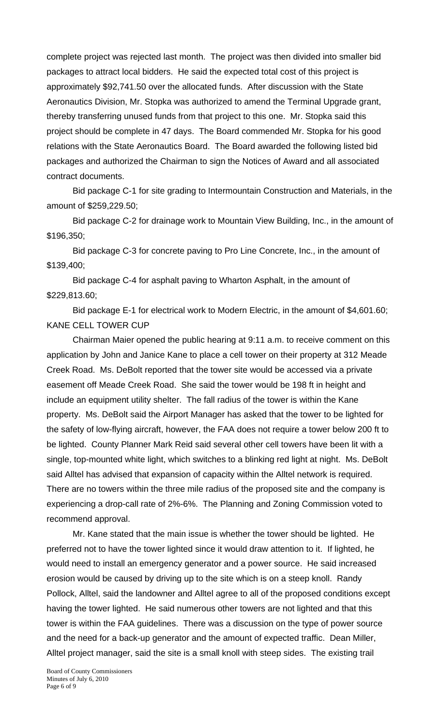complete project was rejected last month. The project was then divided into smaller bid packages to attract local bidders. He said the expected total cost of this project is approximately \$92,741.50 over the allocated funds. After discussion with the State Aeronautics Division, Mr. Stopka was authorized to amend the Terminal Upgrade grant, thereby transferring unused funds from that project to this one. Mr. Stopka said this project should be complete in 47 days. The Board commended Mr. Stopka for his good relations with the State Aeronautics Board. The Board awarded the following listed bid packages and authorized the Chairman to sign the Notices of Award and all associated contract documents.

 Bid package C-1 for site grading to Intermountain Construction and Materials, in the amount of \$259,229.50;

 Bid package C-2 for drainage work to Mountain View Building, Inc., in the amount of \$196,350;

 Bid package C-3 for concrete paving to Pro Line Concrete, Inc., in the amount of \$139,400;

 Bid package C-4 for asphalt paving to Wharton Asphalt, in the amount of \$229,813.60;

 Bid package E-1 for electrical work to Modern Electric, in the amount of \$4,601.60; KANE CELL TOWER CUP

 Chairman Maier opened the public hearing at 9:11 a.m. to receive comment on this application by John and Janice Kane to place a cell tower on their property at 312 Meade Creek Road. Ms. DeBolt reported that the tower site would be accessed via a private easement off Meade Creek Road. She said the tower would be 198 ft in height and include an equipment utility shelter. The fall radius of the tower is within the Kane property. Ms. DeBolt said the Airport Manager has asked that the tower to be lighted for the safety of low-flying aircraft, however, the FAA does not require a tower below 200 ft to be lighted. County Planner Mark Reid said several other cell towers have been lit with a single, top-mounted white light, which switches to a blinking red light at night. Ms. DeBolt said Alltel has advised that expansion of capacity within the Alltel network is required. There are no towers within the three mile radius of the proposed site and the company is experiencing a drop-call rate of 2%-6%. The Planning and Zoning Commission voted to recommend approval.

 Mr. Kane stated that the main issue is whether the tower should be lighted. He preferred not to have the tower lighted since it would draw attention to it. If lighted, he would need to install an emergency generator and a power source. He said increased erosion would be caused by driving up to the site which is on a steep knoll. Randy Pollock, Alltel, said the landowner and Alltel agree to all of the proposed conditions except having the tower lighted. He said numerous other towers are not lighted and that this tower is within the FAA guidelines. There was a discussion on the type of power source and the need for a back-up generator and the amount of expected traffic. Dean Miller, Alltel project manager, said the site is a small knoll with steep sides. The existing trail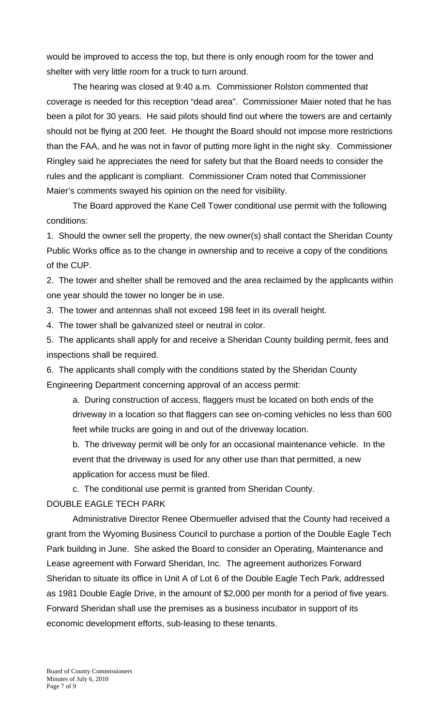would be improved to access the top, but there is only enough room for the tower and shelter with very little room for a truck to turn around.

 The hearing was closed at 9:40 a.m. Commissioner Rolston commented that coverage is needed for this reception "dead area". Commissioner Maier noted that he has been a pilot for 30 years. He said pilots should find out where the towers are and certainly should not be flying at 200 feet. He thought the Board should not impose more restrictions than the FAA, and he was not in favor of putting more light in the night sky. Commissioner Ringley said he appreciates the need for safety but that the Board needs to consider the rules and the applicant is compliant. Commissioner Cram noted that Commissioner Maier's comments swayed his opinion on the need for visibility.

The Board approved the Kane Cell Tower conditional use permit with the following conditions:

1. Should the owner sell the property, the new owner(s) shall contact the Sheridan County Public Works office as to the change in ownership and to receive a copy of the conditions of the CUP.

2. The tower and shelter shall be removed and the area reclaimed by the applicants within one year should the tower no longer be in use.

3. The tower and antennas shall not exceed 198 feet in its overall height.

4. The tower shall be galvanized steel or neutral in color.

5. The applicants shall apply for and receive a Sheridan County building permit, fees and inspections shall be required.

6. The applicants shall comply with the conditions stated by the Sheridan County Engineering Department concerning approval of an access permit:

a. During construction of access, flaggers must be located on both ends of the driveway in a location so that flaggers can see on-coming vehicles no less than 600 feet while trucks are going in and out of the driveway location.

b. The driveway permit will be only for an occasional maintenance vehicle. In the event that the driveway is used for any other use than that permitted, a new application for access must be filed.

c. The conditional use permit is granted from Sheridan County.

### DOUBLE EAGLE TECH PARK

 Administrative Director Renee Obermueller advised that the County had received a grant from the Wyoming Business Council to purchase a portion of the Double Eagle Tech Park building in June. She asked the Board to consider an Operating, Maintenance and Lease agreement with Forward Sheridan, Inc. The agreement authorizes Forward Sheridan to situate its office in Unit A of Lot 6 of the Double Eagle Tech Park, addressed as 1981 Double Eagle Drive, in the amount of \$2,000 per month for a period of five years. Forward Sheridan shall use the premises as a business incubator in support of its economic development efforts, sub-leasing to these tenants.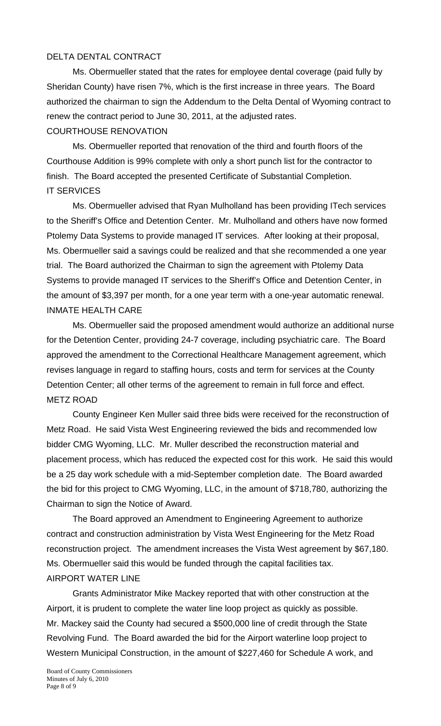# DELTA DENTAL CONTRACT

 Ms. Obermueller stated that the rates for employee dental coverage (paid fully by Sheridan County) have risen 7%, which is the first increase in three years. The Board authorized the chairman to sign the Addendum to the Delta Dental of Wyoming contract to renew the contract period to June 30, 2011, at the adjusted rates. COURTHOUSE RENOVATION

 Ms. Obermueller reported that renovation of the third and fourth floors of the Courthouse Addition is 99% complete with only a short punch list for the contractor to finish. The Board accepted the presented Certificate of Substantial Completion. IT SERVICES

 Ms. Obermueller advised that Ryan Mulholland has been providing ITech services to the Sheriff's Office and Detention Center. Mr. Mulholland and others have now formed Ptolemy Data Systems to provide managed IT services. After looking at their proposal, Ms. Obermueller said a savings could be realized and that she recommended a one year trial. The Board authorized the Chairman to sign the agreement with Ptolemy Data Systems to provide managed IT services to the Sheriff's Office and Detention Center, in the amount of \$3,397 per month, for a one year term with a one-year automatic renewal. INMATE HEALTH CARE

Ms. Obermueller said the proposed amendment would authorize an additional nurse for the Detention Center, providing 24-7 coverage, including psychiatric care. The Board approved the amendment to the Correctional Healthcare Management agreement, which revises language in regard to staffing hours, costs and term for services at the County Detention Center; all other terms of the agreement to remain in full force and effect. METZ ROAD

County Engineer Ken Muller said three bids were received for the reconstruction of Metz Road. He said Vista West Engineering reviewed the bids and recommended low bidder CMG Wyoming, LLC. Mr. Muller described the reconstruction material and placement process, which has reduced the expected cost for this work. He said this would be a 25 day work schedule with a mid-September completion date. The Board awarded the bid for this project to CMG Wyoming, LLC, in the amount of \$718,780, authorizing the Chairman to sign the Notice of Award.

The Board approved an Amendment to Engineering Agreement to authorize contract and construction administration by Vista West Engineering for the Metz Road reconstruction project. The amendment increases the Vista West agreement by \$67,180. Ms. Obermueller said this would be funded through the capital facilities tax. AIRPORT WATER LINE

 Grants Administrator Mike Mackey reported that with other construction at the Airport, it is prudent to complete the water line loop project as quickly as possible. Mr. Mackey said the County had secured a \$500,000 line of credit through the State Revolving Fund. The Board awarded the bid for the Airport waterline loop project to Western Municipal Construction, in the amount of \$227,460 for Schedule A work, and